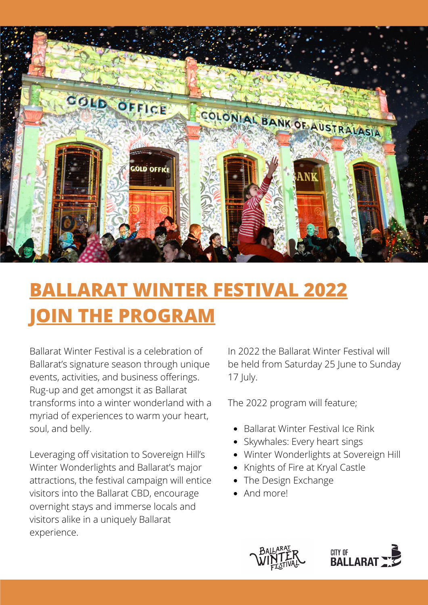

# **BALLARAT WINTER FESTIVAL 2022 JOIN THE PROGRAM**

Ballarat Winter Festival is a celebration of Ballarat's signature season through unique events, activities, and business offerings. Rug-up and get amongst it as Ballarat transforms into a winter wonderland with a myriad of experiences to warm your heart, soul, and belly.

Leveraging off visitation to Sovereign Hill's Winter Wonderlights and Ballarat's major attractions, the festival campaign will entice visitors into the Ballarat CBD, encourage overnight stays and immerse locals and visitors alike in a uniquely Ballarat experience.

In 2022 the Ballarat Winter Festival will be held from Saturday 25 June to Sunday 17 July.

The 2022 program will feature;

- Ballarat Winter Festival Ice Rink
- Skywhales: Every heart sings
- Winter Wonderlights at Sovereign Hill
- Knights of Fire at Kryal Castle
- The Design Exchange
- And more!



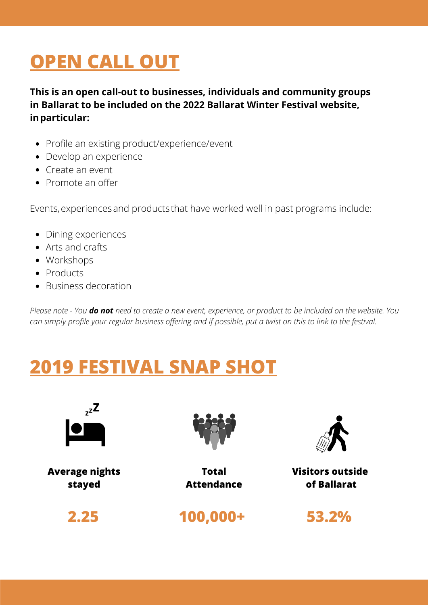# **OPEN CALL OUT**

**This is an open call-out to businesses, individuals and community groups in Ballarat to be included on the 2022 Ballarat Winter Festival website, inparticular:**

- Profile an existing product/experience/event
- Develop an experience
- Create an event
- Promote an offer

Events, experiences and products that have worked well in past programs include:

- Dining experiences
- Arts and crafts
- Workshops
- Products
- Business decoration

Please note - You do not need to create a new event, experience, or product to be included on the website. You can simply profile your regular business offering and if possible, put a twist on this to link to the festival.

## **2019 FESTIVAL SNAP SHOT**



**Average nights stayed**



**Total Attendance**

**2.25**

**100,000+**



**Visitors outside of Ballarat**